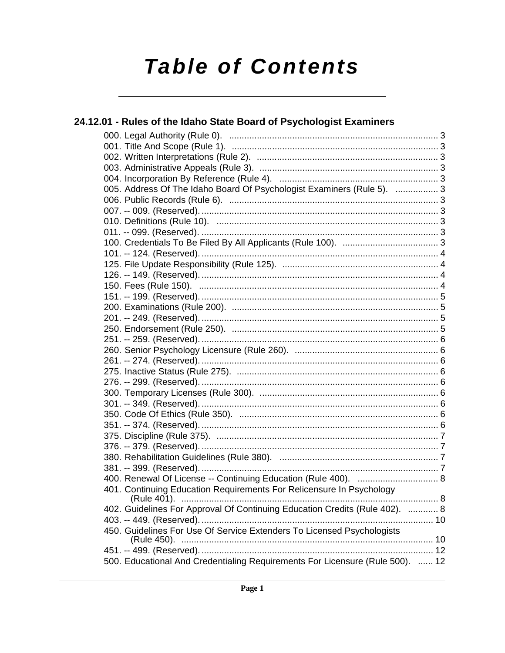# **Table of Contents**

| 24.12.01 - Rules of the Idaho State Board of Psychologist Examiners           |  |
|-------------------------------------------------------------------------------|--|
|                                                                               |  |
|                                                                               |  |
|                                                                               |  |
|                                                                               |  |
|                                                                               |  |
| 005. Address Of The Idaho Board Of Psychologist Examiners (Rule 5).  3        |  |
|                                                                               |  |
|                                                                               |  |
|                                                                               |  |
|                                                                               |  |
|                                                                               |  |
|                                                                               |  |
|                                                                               |  |
|                                                                               |  |
|                                                                               |  |
|                                                                               |  |
|                                                                               |  |
|                                                                               |  |
|                                                                               |  |
|                                                                               |  |
|                                                                               |  |
|                                                                               |  |
|                                                                               |  |
|                                                                               |  |
|                                                                               |  |
|                                                                               |  |
|                                                                               |  |
|                                                                               |  |
|                                                                               |  |
|                                                                               |  |
|                                                                               |  |
|                                                                               |  |
|                                                                               |  |
| 401. Continuing Education Requirements For Relicensure In Psychology          |  |
| 402. Guidelines For Approval Of Continuing Education Credits (Rule 402).  8   |  |
|                                                                               |  |
| 450. Guidelines For Use Of Service Extenders To Licensed Psychologists        |  |
|                                                                               |  |
|                                                                               |  |
| 500. Educational And Credentialing Requirements For Licensure (Rule 500).  12 |  |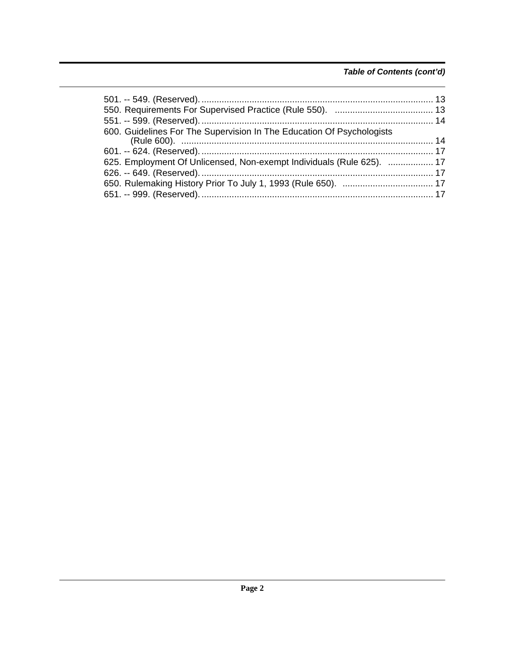### *Table of Contents (cont'd)*

| 600. Guidelines For The Supervision In The Education Of Psychologists |  |
|-----------------------------------------------------------------------|--|
|                                                                       |  |
| 625. Employment Of Unlicensed, Non-exempt Individuals (Rule 625).  17 |  |
|                                                                       |  |
|                                                                       |  |
|                                                                       |  |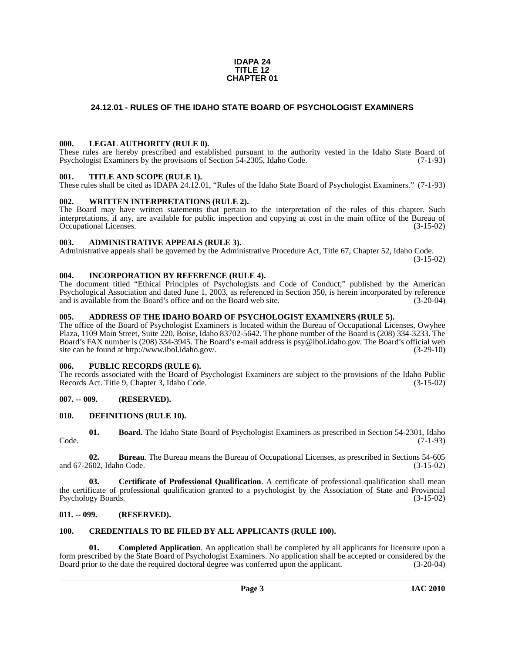#### **IDAPA 24 TITLE 12 CHAPTER 01**

#### <span id="page-2-0"></span>**24.12.01 - RULES OF THE IDAHO STATE BOARD OF PSYCHOLOGIST EXAMINERS**

#### <span id="page-2-1"></span>**000. LEGAL AUTHORITY (RULE 0).**

These rules are hereby prescribed and established pursuant to the authority vested in the Idaho State Board of Psychologist Examiners by the provisions of Section 54-2305, Idaho Code. (7-1-93)

#### <span id="page-2-2"></span>**001. TITLE AND SCOPE (RULE 1).**

These rules shall be cited as IDAPA 24.12.01, "Rules of the Idaho State Board of Psychologist Examiners." (7-1-93)

#### <span id="page-2-3"></span>**002. WRITTEN INTERPRETATIONS (RULE 2).**

The Board may have written statements that pertain to the interpretation of the rules of this chapter. Such interpretations, if any, are available for public inspection and copying at cost in the main office of the Bureau of Occupational Licenses. (3-15-02) Occupational Licenses.

#### <span id="page-2-4"></span>**003. ADMINISTRATIVE APPEALS (RULE 3).**

Administrative appeals shall be governed by the Administrative Procedure Act, Title 67, Chapter 52, Idaho Code.

(3-15-02)

#### <span id="page-2-5"></span>**004. INCORPORATION BY REFERENCE (RULE 4).**

The document titled "Ethical Principles of Psychologists and Code of Conduct," published by the American Psychological Association and dated June 1, 2003, as referenced in Section 350, is herein incorporated by reference and is available from the Board's office and on the Board web site. (3-20-04)

#### <span id="page-2-6"></span>**005. ADDRESS OF THE IDAHO BOARD OF PSYCHOLOGIST EXAMINERS (RULE 5).**

[The office of the Board of Psychologist Examiners is located within the Bureau of Occupational Licenses, Owyhee](mailto:psy@ibol.idaho.gov)  Plaza, 1109 Main Street, Suite 220, Boise, Idaho 83702-5642. The phone number of the Board is (208) 334-3233. The Board's FAX number is (208) 334-3945. The Board's e-mail address is psy@ibol.idaho.gov. The Board's official web [site can be found at](mailto:psy@ibol.idaho.gov) [http://www.ibol.idaho.gov/. \(3-29-10\)](http://www.ibol.idaho.gov)

#### <span id="page-2-7"></span>**006. PUBLIC RECORDS (RULE 6).**

The records associated with the Board of Psychologist Examiners are subject to the provisions of the Idaho Public Records Act. Title 9, Chapter 3, Idaho Code. (3-15-02)

#### <span id="page-2-8"></span>**007. -- 009. (RESERVED).**

#### <span id="page-2-15"></span><span id="page-2-9"></span>**010. DEFINITIONS (RULE 10).**

<span id="page-2-12"></span>**01. Board**. The Idaho State Board of Psychologist Examiners as prescribed in Section 54-2301, Idaho Code. (7-1-93)

**02. Bureau**. The Bureau means the Bureau of Occupational Licenses, as prescribed in Sections 54-605 and 67-2602, Idaho Code. (3-15-02)

**03. Certificate of Professional Qualification**. A certificate of professional qualification shall mean the certificate of professional qualification granted to a psychologist by the Association of State and Provincial Psychology Boards. (3-15-02)

#### <span id="page-2-10"></span>**011. -- 099. (RESERVED).**

#### <span id="page-2-14"></span><span id="page-2-11"></span>**100. CREDENTIALS TO BE FILED BY ALL APPLICANTS (RULE 100).**

<span id="page-2-13"></span>**01. Completed Application**. An application shall be completed by all applicants for licensure upon a form prescribed by the State Board of Psychologist Examiners. No application shall be accepted or considered by the Board prior to the date the required doctoral degree was conferred upon the applicant. (3-20-04)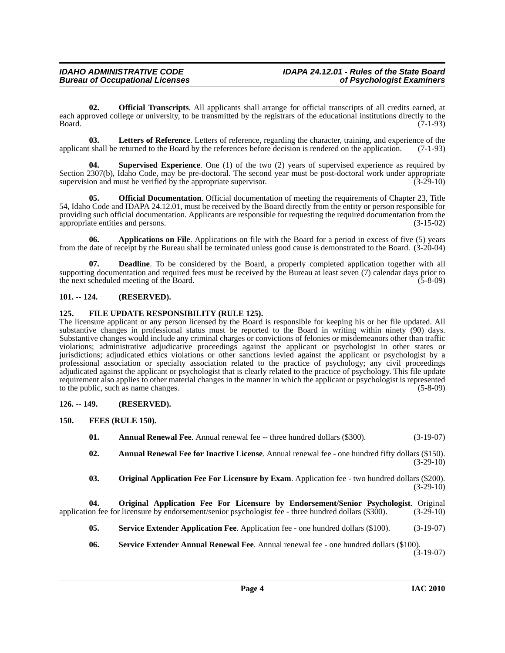<span id="page-3-8"></span>**02. Official Transcripts**. All applicants shall arrange for official transcripts of all credits earned, at each approved college or university, to be transmitted by the registrars of the educational institutions directly to the Board. (7-1-93) Board. (7-1-93)

<span id="page-3-7"></span>**03.** Letters of Reference. Letters of reference, regarding the character, training, and experience of the tshall be returned to the Board by the references before decision is rendered on the application. (7-1-93) applicant shall be returned to the Board by the references before decision is rendered on the application.

<span id="page-3-12"></span>**04. Supervised Experience**. One (1) of the two (2) years of supervised experience as required by Section 2307(b), Idaho Code, may be pre-doctoral. The second year must be post-doctoral work under appropriate supervision and must be verified by the appropriate supervisor.  $(3-29-10)$ 

**05. Official Documentation**. Official documentation of meeting the requirements of Chapter 23, Title 54, Idaho Code and IDAPA 24.12.01, must be received by the Board directly from the entity or person responsible for providing such official documentation. Applicants are responsible for requesting the required documentation from the appropriate entities and persons. (3-15-02) appropriate entities and persons.

**06. Applications on File**. Applications on file with the Board for a period in excess of five (5) years from the date of receipt by the Bureau shall be terminated unless good cause is demonstrated to the Board. (3-20-04)

**07. Deadline**. To be considered by the Board, a properly completed application together with all supporting documentation and required fees must be received by the Bureau at least seven (7) calendar days prior to the next scheduled meeting of the Board. (5-8-09) the next scheduled meeting of the Board.

#### <span id="page-3-0"></span>**101. -- 124. (RESERVED).**

#### <span id="page-3-1"></span>**125. FILE UPDATE RESPONSIBILITY (RULE 125).**

The licensure applicant or any person licensed by the Board is responsible for keeping his or her file updated. All substantive changes in professional status must be reported to the Board in writing within ninety (90) days. Substantive changes would include any criminal charges or convictions of felonies or misdemeanors other than traffic violations; administrative adjudicative proceedings against the applicant or psychologist in other states or jurisdictions; adjudicated ethics violations or other sanctions levied against the applicant or psychologist by a professional association or specialty association related to the practice of psychology; any civil proceedings adjudicated against the applicant or psychologist that is clearly related to the practice of psychology. This file update requirement also applies to other material changes in the manner in which the applicant or psychologist is represented to the public, such as name changes. (5-8-09)

#### <span id="page-3-2"></span>**126. -- 149. (RESERVED).**

- <span id="page-3-6"></span><span id="page-3-5"></span><span id="page-3-4"></span><span id="page-3-3"></span>**150. FEES (RULE 150).**
	- **01.** Annual Renewal Fee. Annual renewal fee -- three hundred dollars (\$300). (3-19-07)
	- **02. Annual Renewal Fee for Inactive License**. Annual renewal fee one hundred fifty dollars (\$150). (3-29-10)
	- **03. Original Application Fee For Licensure by Exam**. Application fee two hundred dollars (\$200).  $(3-29-10)$

**04. Original Application Fee For Licensure by Endorsement/Senior Psychologist**. Original application fee for licensure by endorsement/senior psychologist fee - three hundred dollars (\$300). (3-29-10)

- <span id="page-3-10"></span><span id="page-3-9"></span>**05. Service Extender Application Fee**. Application fee - one hundred dollars (\$100). (3-19-07)
- <span id="page-3-11"></span>**06. Service Extender Annual Renewal Fee**. Annual renewal fee - one hundred dollars (\$100).  $(3-19-07)$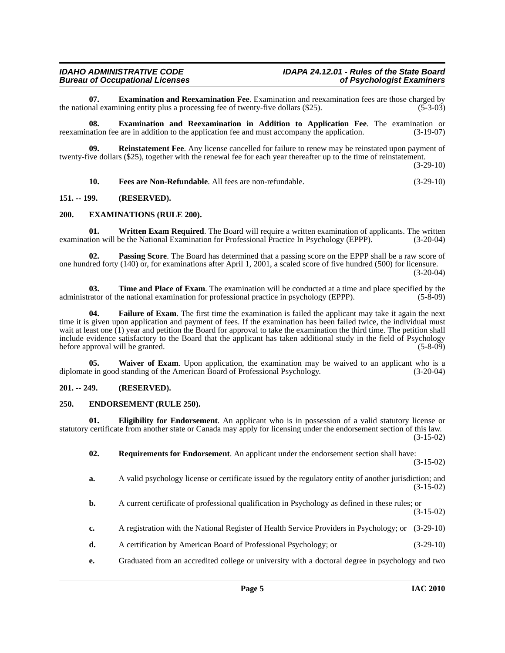<span id="page-4-7"></span>**07. Examination and Reexamination Fee**. Examination and reexamination fees are those charged by nal examining entity plus a processing fee of twenty-five dollars (\$25). the national examining entity plus a processing fee of twenty-five dollars (\$25).

<span id="page-4-6"></span>**08. Examination and Reexamination in Addition to Application Fee**. The examination or reexamination fee are in addition to the application fee and must accompany the application. (3-19-07)

**09. Reinstatement Fee**. Any license cancelled for failure to renew may be reinstated upon payment of twenty-five dollars (\$25), together with the renewal fee for each year thereafter up to the time of reinstatement.

(3-29-10)

<span id="page-4-15"></span><span id="page-4-11"></span><span id="page-4-10"></span><span id="page-4-8"></span>**10. Fees are Non-Refundable**. All fees are non-refundable. (3-29-10)

#### <span id="page-4-0"></span>**151. -- 199. (RESERVED).**

#### <span id="page-4-1"></span>**200. EXAMINATIONS (RULE 200).**

**01.** Written Exam Required. The Board will require a written examination of applicants. The written examination will be the National Examination for Professional Practice In Psychology (EPPP). (3-20-04)

**02. Passing Score**. The Board has determined that a passing score on the EPPP shall be a raw score of one hundred forty (140) or, for examinations after April 1, 2001, a scaled score of five hundred (500) for licensure.

(3-20-04)

<span id="page-4-13"></span>**03. Time and Place of Exam**. The examination will be conducted at a time and place specified by the administrator of the national examination for professional practice in psychology (EPPP). (5-8-09)

<span id="page-4-9"></span>**04. Failure of Exam**. The first time the examination is failed the applicant may take it again the next time it is given upon application and payment of fees. If the examination has been failed twice, the individual must wait at least one (1) year and petition the Board for approval to take the examination the third time. The petition shall include evidence satisfactory to the Board that the applicant has taken additional study in the field of Psychology before approval will be granted.

<span id="page-4-14"></span>**05.** Waiver of Exam. Upon application, the examination may be waived to an applicant who is a diplomate in good standing of the American Board of Professional Psychology. (3-20-04)

#### <span id="page-4-2"></span>**201. -- 249. (RESERVED).**

#### <span id="page-4-5"></span><span id="page-4-3"></span>**250. ENDORSEMENT (RULE 250).**

**01. Eligibility for Endorsement**. An applicant who is in possession of a valid statutory license or statutory certificate from another state or Canada may apply for licensing under the endorsement section of this law. (3-15-02)

<span id="page-4-12"></span><span id="page-4-4"></span>**02. Requirements for Endorsement**. An applicant under the endorsement section shall have:

(3-15-02)

- **a.** A valid psychology license or certificate issued by the regulatory entity of another jurisdiction; and (3-15-02)
- **b.** A current certificate of professional qualification in Psychology as defined in these rules; or (3-15-02)
- **c.** A registration with the National Register of Health Service Providers in Psychology; or (3-29-10)
- **d.** A certification by American Board of Professional Psychology; or (3-29-10)
- **e.** Graduated from an accredited college or university with a doctoral degree in psychology and two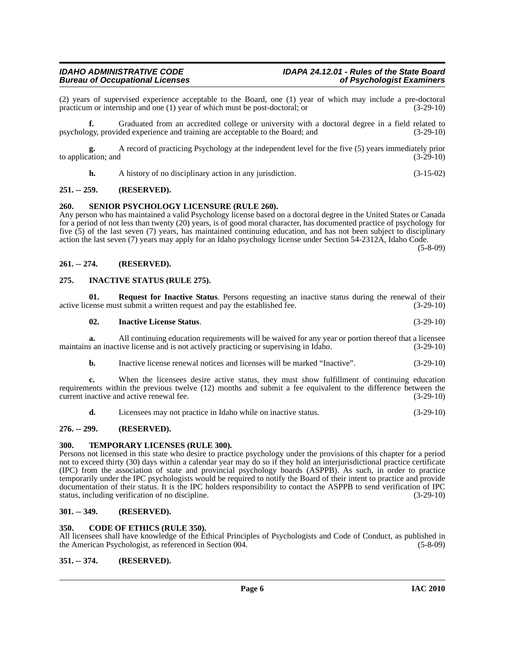(2) years of supervised experience acceptable to the Board, one (1) year of which may include a pre-doctoral practicum or internship and one (1) year of which must be post-doctoral; or practicum or internship and one  $(1)$  year of which must be post-doctoral; or

**f.** Graduated from an accredited college or university with a doctoral degree in a field related to psychology, provided experience and training are acceptable to the Board; and (3-29-10)

**g.** A record of practicing Psychology at the independent level for the five (5) years immediately prior to application; and

<span id="page-5-13"></span>**h.** A history of no disciplinary action in any jurisdiction. (3-15-02)

#### <span id="page-5-0"></span>**251. -- 259. (RESERVED).**

#### <span id="page-5-1"></span>**260. SENIOR PSYCHOLOGY LICENSURE (RULE 260).**

Any person who has maintained a valid Psychology license based on a doctoral degree in the United States or Canada for a period of not less than twenty (20) years, is of good moral character, has documented practice of psychology for five (5) of the last seven (7) years, has maintained continuing education, and has not been subject to disciplinary action the last seven (7) years may apply for an Idaho psychology license under Section 54-2312A, Idaho Code.

 $(5-8-09)$ 

#### <span id="page-5-2"></span>**261. -- 274. (RESERVED).**

#### <span id="page-5-11"></span><span id="page-5-3"></span>**275. INACTIVE STATUS (RULE 275).**

**01. Request for Inactive Status**. Persons requesting an inactive status during the renewal of their renewal of their renewal of their  $(3-29-10)$ active license must submit a written request and pay the established fee.

<span id="page-5-12"></span><span id="page-5-10"></span>

**a.** All continuing education requirements will be waived for any year or portion thereof that a licensee maintains an inactive license and is not actively practicing or supervising in Idaho. (3-29-10)

**b.** Inactive license renewal notices and licenses will be marked "Inactive". (3-29-10)

**c.** When the licensees desire active status, they must show fulfillment of continuing education requirements within the previous twelve (12) months and submit a fee equivalent to the difference between the current inactive and active renewal fee. (3-29-10)

<span id="page-5-14"></span>**d.** Licensees may not practice in Idaho while on inactive status. (3-29-10)

#### <span id="page-5-4"></span>**276. -- 299. (RESERVED).**

#### <span id="page-5-5"></span>**300. TEMPORARY LICENSES (RULE 300).**

Persons not licensed in this state who desire to practice psychology under the provisions of this chapter for a period not to exceed thirty (30) days within a calendar year may do so if they hold an interjurisdictional practice certificate (IPC) from the association of state and provincial psychology boards (ASPPB). As such, in order to practice temporarily under the IPC psychologists would be required to notify the Board of their intent to practice and provide documentation of their status. It is the IPC holders responsibility to contact the ASPPB to send verification of IPC status, including verification of no discipline. (3-29-10)

#### <span id="page-5-6"></span>**301. -- 349. (RESERVED).**

#### <span id="page-5-9"></span><span id="page-5-7"></span>**350. CODE OF ETHICS (RULE 350).**

All licensees shall have knowledge of the Ethical Principles of Psychologists and Code of Conduct, as published in the American Psychologist, as referenced in Section 004. (5-8-09) the American Psychologist, as referenced in Section 004.

#### <span id="page-5-8"></span>**351. -- 374. (RESERVED).**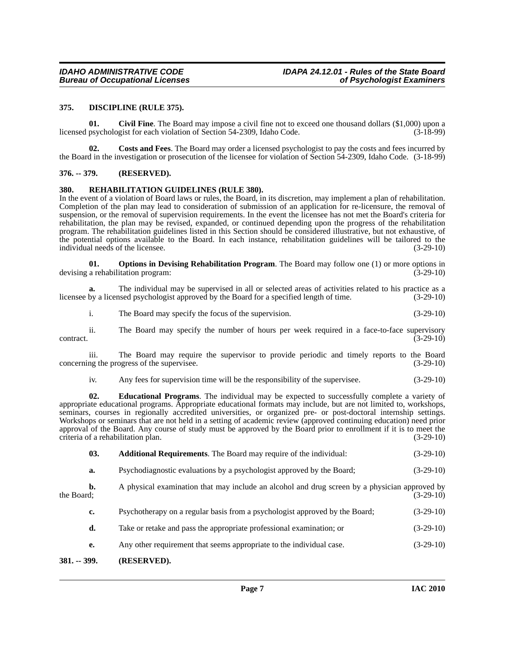#### <span id="page-6-7"></span><span id="page-6-0"></span>**375. DISCIPLINE (RULE 375).**

<span id="page-6-5"></span>**01.** Civil Fine. The Board may impose a civil fine not to exceed one thousand dollars (\$1,000) upon a psychologist for each violation of Section 54-2309. Idaho Code. (3-18-99) licensed psychologist for each violation of Section 54-2309, Idaho Code.

<span id="page-6-6"></span>**02. Costs and Fees**. The Board may order a licensed psychologist to pay the costs and fees incurred by the Board in the investigation or prosecution of the licensee for violation of Section 54-2309, Idaho Code. (3-18-99)

#### <span id="page-6-1"></span>**376. -- 379. (RESERVED).**

#### <span id="page-6-10"></span><span id="page-6-2"></span>**380. REHABILITATION GUIDELINES (RULE 380).**

In the event of a violation of Board laws or rules, the Board, in its discretion, may implement a plan of rehabilitation. Completion of the plan may lead to consideration of submission of an application for re-licensure, the removal of suspension, or the removal of supervision requirements. In the event the licensee has not met the Board's criteria for rehabilitation, the plan may be revised, expanded, or continued depending upon the progress of the rehabilitation program. The rehabilitation guidelines listed in this Section should be considered illustrative, but not exhaustive, of the potential options available to the Board. In each instance, rehabilitation guidelines will be tailored to the individual needs of the licensee. (3-29-10)

<span id="page-6-9"></span>**01. Options in Devising Rehabilitation Program**. The Board may follow one (1) or more options in a rehabilitation program: (3-29-10) devising a rehabilitation program:

**a.** The individual may be supervised in all or selected areas of activities related to his practice as a licensee by a licensed psychologist approved by the Board for a specified length of time. (3-29-10)

i. The Board may specify the focus of the supervision. (3-29-10)

ii. The Board may specify the number of hours per week required in a face-to-face supervisory  $\overline{3}$ -29-10)

iii. The Board may require the supervisor to provide periodic and timely reports to the Board concerning the progress of the supervisee. (3-29-10)

<span id="page-6-8"></span>iv. Any fees for supervision time will be the responsibility of the supervisee. (3-29-10)

**02. Educational Programs**. The individual may be expected to successfully complete a variety of appropriate educational programs. Appropriate educational formats may include, but are not limited to, workshops, seminars, courses in regionally accredited universities, or organized pre- or post-doctoral internship settings. Workshops or seminars that are not held in a setting of academic review (approved continuing education) need prior approval of the Board. Any course of study must be approved by the Board prior to enrollment if it is to meet the criteria of a rehabilitation plan. (3-29-10)

<span id="page-6-4"></span>

| 03. |  | <b>Additional Requirements.</b> The Board may require of the individual: | $(3-29-10)$ |
|-----|--|--------------------------------------------------------------------------|-------------|
|-----|--|--------------------------------------------------------------------------|-------------|

**a.** Psychodiagnostic evaluations by a psychologist approved by the Board; (3-29-10)

**b.** A physical examination that may include an alcohol and drug screen by a physician approved by the Board; (3-29-10) the Board;  $(3-29-10)$ 

- **c.** Psychotherapy on a regular basis from a psychologist approved by the Board; (3-29-10)
- **d.** Take or retake and pass the appropriate professional examination; or (3-29-10)
- **e.** Any other requirement that seems appropriate to the individual case.  $(3-29-10)$

#### <span id="page-6-3"></span>**381. -- 399. (RESERVED).**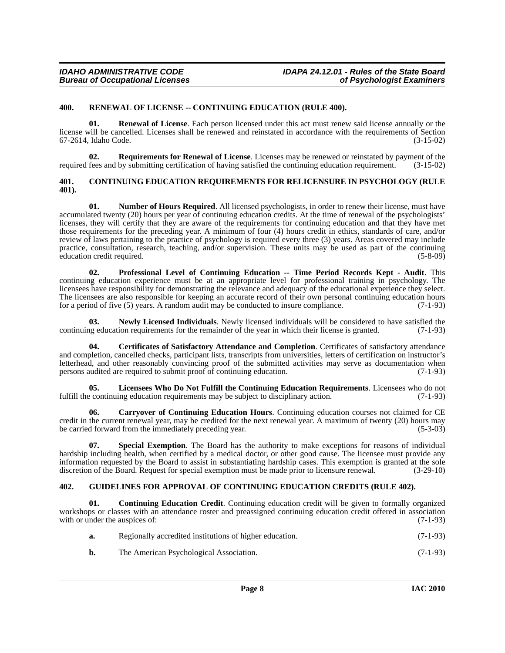#### <span id="page-7-12"></span><span id="page-7-0"></span>**400. RENEWAL OF LICENSE -- CONTINUING EDUCATION (RULE 400).**

**Renewal of License.** Each person licensed under this act must renew said license annually or the license will be cancelled. Licenses shall be renewed and reinstated in accordance with the requirements of Section 67-2614, Idaho Code. (3-15-02)

<span id="page-7-13"></span>**02. Requirements for Renewal of License**. Licenses may be renewed or reinstated by payment of the required fees and by submitting certification of having satisfied the continuing education requirement. (3-15-02)

#### <span id="page-7-6"></span><span id="page-7-1"></span>**401. CONTINUING EDUCATION REQUIREMENTS FOR RELICENSURE IN PSYCHOLOGY (RULE 401).**

<span id="page-7-10"></span>**01. Number of Hours Required**. All licensed psychologists, in order to renew their license, must have accumulated twenty (20) hours per year of continuing education credits. At the time of renewal of the psychologists' licenses, they will certify that they are aware of the requirements for continuing education and that they have met those requirements for the preceding year. A minimum of four (4) hours credit in ethics, standards of care, and/or review of laws pertaining to the practice of psychology is required every three (3) years. Areas covered may include practice, consultation, research, teaching, and/or supervision. These units may be used as part of the continuing education credit required. (5-8-09)

<span id="page-7-11"></span>**02. Professional Level of Continuing Education -- Time Period Records Kept - Audit**. This continuing education experience must be at an appropriate level for professional training in psychology. The licensees have responsibility for demonstrating the relevance and adequacy of the educational experience they select. The licensees are also responsible for keeping an accurate record of their own personal continuing education hours for a period of five  $(5)$  vears. A random audit may be conducted to insure compliance.  $(7-1-93)$ for a period of five  $(5)$  years. A random audit may be conducted to insure compliance.

<span id="page-7-9"></span>**Newly Licensed Individuals**. Newly licensed individuals will be considered to have satisfied the ion requirements for the remainder of the year in which their license is granted. (7-1-93) continuing education requirements for the remainder of the year in which their license is granted.

<span id="page-7-4"></span>**04. Certificates of Satisfactory Attendance and Completion**. Certificates of satisfactory attendance and completion, cancelled checks, participant lists, transcripts from universities, letters of certification on instructor's letterhead, and other reasonably convincing proof of the submitted activities may serve as documentation when persons audited are required to submit proof of continuing education. (7-1-93)

<span id="page-7-8"></span>**05. Licensees Who Do Not Fulfill the Continuing Education Requirements**. Licensees who do not fulfill the continuing education requirements may be subject to disciplinary action.  $(7-1-93)$ 

<span id="page-7-3"></span>**06. Carryover of Continuing Education Hours**. Continuing education courses not claimed for CE credit in the current renewal year, may be credited for the next renewal year. A maximum of twenty (20) hours may be carried forward from the immediately preceding year. (5-3-03)

<span id="page-7-14"></span>**07. Special Exemption**. The Board has the authority to make exceptions for reasons of individual hardship including health, when certified by a medical doctor, or other good cause. The licensee must provide any information requested by the Board to assist in substantiating hardship cases. This exemption is granted at the sole discretion of the Board. Request for special exemption must be made prior to licensure renewal. (3-29-10) discretion of the Board. Request for special exemption must be made prior to licensure renewal.

#### <span id="page-7-7"></span><span id="page-7-2"></span>**402. GUIDELINES FOR APPROVAL OF CONTINUING EDUCATION CREDITS (RULE 402).**

**01. Continuing Education Credit**. Continuing education credit will be given to formally organized workshops or classes with an attendance roster and preassigned continuing education credit offered in association with or under the auspices of:  $(7-1-93)$ 

<span id="page-7-5"></span>

| Regionally accredited institutions of higher education. | $(7-1-93)$ |
|---------------------------------------------------------|------------|
| The American Psychological Association.                 | $(7-1-93)$ |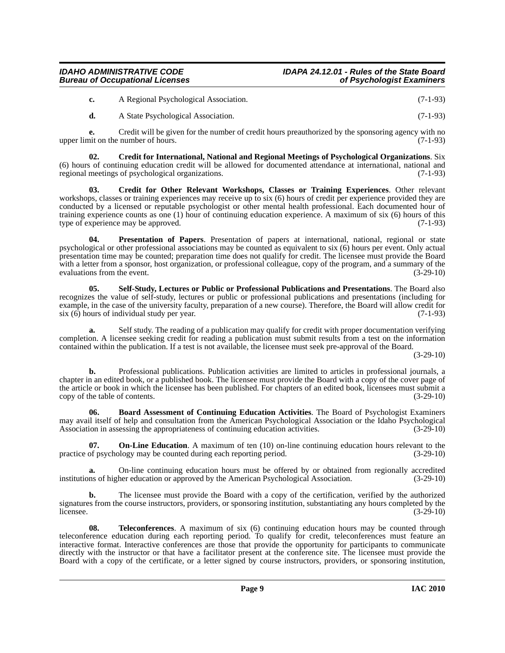#### *IDAHO ADMINISTRATIVE CODE IDAPA 24.12.01 - Rules of the State Board Bureau of Occupational Licenses*

| c. | A Regional Psychological Association. | $(7-1-93)$ |
|----|---------------------------------------|------------|
|    |                                       |            |

<span id="page-8-1"></span>**d.** A State Psychological Association. (7-1-93)

**e.** Credit will be given for the number of credit hours preauthorized by the sponsoring agency with no upper limit on the number of hours. (7-1-93)

**02. Credit for International, National and Regional Meetings of Psychological Organizations**. Six (6) hours of continuing education credit will be allowed for documented attendance at international, national and regional meetings of psychological organizations. (7-1-93)

<span id="page-8-2"></span>**03. Credit for Other Relevant Workshops, Classes or Training Experiences**. Other relevant workshops, classes or training experiences may receive up to six (6) hours of credit per experience provided they are conducted by a licensed or reputable psychologist or other mental health professional. Each documented hour of training experience counts as one (1) hour of continuing education experience. A maximum of six (6) hours of this type of experience may be approved. (7-1-93) type of experience may be approved.

<span id="page-8-4"></span>Presentation of Papers. Presentation of papers at international, national, regional or state psychological or other professional associations may be counted as equivalent to six (6) hours per event. Only actual presentation time may be counted; preparation time does not qualify for credit. The licensee must provide the Board with a letter from a sponsor, host organization, or professional colleague, copy of the program, and a summary of the evaluations from the event. (3-29-10) evaluations from the event.

<span id="page-8-5"></span>**05. Self-Study, Lectures or Public or Professional Publications and Presentations**. The Board also recognizes the value of self-study, lectures or public or professional publications and presentations (including for example, in the case of the university faculty, preparation of a new course). Therefore, the Board will allow credit for six (6) hours of individual study per year. (7-1-93)

Self study. The reading of a publication may qualify for credit with proper documentation verifying completion. A licensee seeking credit for reading a publication must submit results from a test on the information contained within the publication. If a test is not available, the licensee must seek pre-approval of the Board.

(3-29-10)

**b.** Professional publications. Publication activities are limited to articles in professional journals, a chapter in an edited book, or a published book. The licensee must provide the Board with a copy of the cover page of the article or book in which the licensee has been published. For chapters of an edited book, licensees must submit a copy of the table of contents. (3-29-10)

<span id="page-8-0"></span>**06. Board Assessment of Continuing Education Activities**. The Board of Psychologist Examiners may avail itself of help and consultation from the American Psychological Association or the Idaho Psychological Association in assessing the appropriateness of continuing education activities. (3-29-10)

<span id="page-8-3"></span>**07. On-Line Education**. A maximum of ten (10) on-line continuing education hours relevant to the of psychology may be counted during each reporting period. (3-29-10) practice of psychology may be counted during each reporting period.

**a.** On-line continuing education hours must be offered by or obtained from regionally accredited institutions of higher education or approved by the American Psychological Association. (3-29-10)

**b.** The licensee must provide the Board with a copy of the certification, verified by the authorized signatures from the course instructors, providers, or sponsoring institution, substantiating any hours completed by the licensee. (3-29-10) licensee.  $(3-29-10)$ 

<span id="page-8-6"></span>**08.** Teleconferences. A maximum of six (6) continuing education hours may be counted through teleconference education during each reporting period. To qualify for credit, teleconferences must feature an interactive format. Interactive conferences are those that provide the opportunity for participants to communicate directly with the instructor or that have a facilitator present at the conference site. The licensee must provide the Board with a copy of the certificate, or a letter signed by course instructors, providers, or sponsoring institution,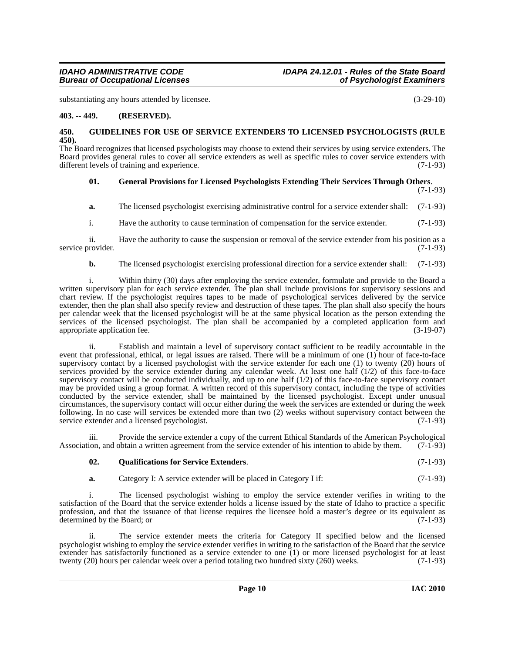substantiating any hours attended by licensee. (3-29-10)

#### <span id="page-9-0"></span>**403. -- 449. (RESERVED).**

#### <span id="page-9-3"></span><span id="page-9-1"></span>**450. GUIDELINES FOR USE OF SERVICE EXTENDERS TO LICENSED PSYCHOLOGISTS (RULE 450).**

The Board recognizes that licensed psychologists may choose to extend their services by using service extenders. The Board provides general rules to cover all service extenders as well as specific rules to cover service extenders with different levels of training and experience. (7-1-93)

#### <span id="page-9-2"></span>**01. General Provisions for Licensed Psychologists Extending Their Services Through Others**.

(7-1-93)

**a.** The licensed psychologist exercising administrative control for a service extender shall: (7-1-93)

i. Have the authority to cause termination of compensation for the service extender. (7-1-93)

ii. Have the authority to cause the suspension or removal of the service extender from his position as a service provider. (7-1-93)

**b.** The licensed psychologist exercising professional direction for a service extender shall: (7-1-93)

i. Within thirty (30) days after employing the service extender, formulate and provide to the Board a written supervisory plan for each service extender. The plan shall include provisions for supervisory sessions and chart review. If the psychologist requires tapes to be made of psychological services delivered by the service extender, then the plan shall also specify review and destruction of these tapes. The plan shall also specify the hours per calendar week that the licensed psychologist will be at the same physical location as the person extending the services of the licensed psychologist. The plan shall be accompanied by a completed application form and appropriate application fee. (3-19-07) appropriate application fee.

ii. Establish and maintain a level of supervisory contact sufficient to be readily accountable in the event that professional, ethical, or legal issues are raised. There will be a minimum of one (1) hour of face-to-face supervisory contact by a licensed psychologist with the service extender for each one (1) to twenty (20) hours of services provided by the service extender during any calendar week. At least one half (1/2) of this face-to-face supervisory contact will be conducted individually, and up to one half  $(1/2)$  of this face-to-face supervisory contact may be provided using a group format. A written record of this supervisory contact, including the type of activities conducted by the service extender, shall be maintained by the licensed psychologist. Except under unusual circumstances, the supervisory contact will occur either during the week the services are extended or during the week following. In no case will services be extended more than two (2) weeks without supervisory contact between the service extender and a licensed psychologist. (7-1-93) service extender and a licensed psychologist.

iii. Provide the service extender a copy of the current Ethical Standards of the American Psychological Association, and obtain a written agreement from the service extender of his intention to abide by them. (7-1-93)

#### <span id="page-9-4"></span>**02. Qualifications for Service Extenders**. (7-1-93)

**a.** Category I: A service extender will be placed in Category I if: (7-1-93)

i. The licensed psychologist wishing to employ the service extender verifies in writing to the satisfaction of the Board that the service extender holds a license issued by the state of Idaho to practice a specific profession, and that the issuance of that license requires the licensee hold a master's degree or its equivalent as determined by the Board; or (7-1-93)

ii. The service extender meets the criteria for Category II specified below and the licensed psychologist wishing to employ the service extender verifies in writing to the satisfaction of the Board that the service extender has satisfactorily functioned as a service extender to one (1) or more licensed psychologist for at least twenty (20) hours per calendar week over a period totaling two hundred sixty (260) weeks. (7-1-93)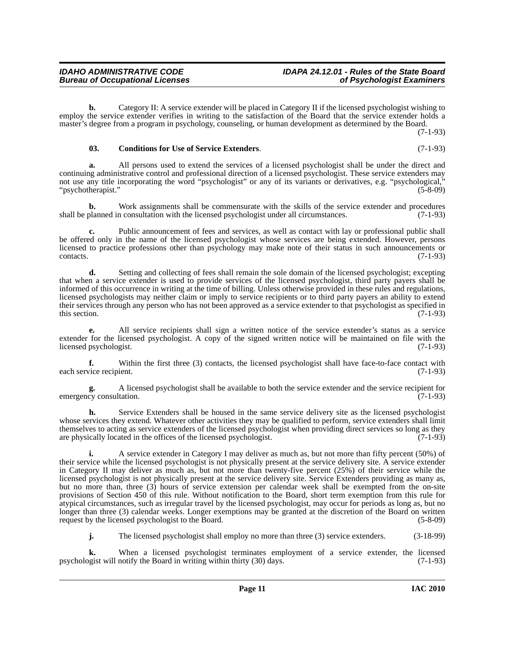**b.** Category II: A service extender will be placed in Category II if the licensed psychologist wishing to employ the service extender verifies in writing to the satisfaction of the Board that the service extender holds a master's degree from a program in psychology, counseling, or human development as determined by the Board.

(7-1-93)

#### <span id="page-10-0"></span>**03. Conditions for Use of Service Extenders**. (7-1-93)

**a.** All persons used to extend the services of a licensed psychologist shall be under the direct and continuing administrative control and professional direction of a licensed psychologist. These service extenders may not use any title incorporating the word "psychologist" or any of its variants or derivatives, e.g. "psychological," "psychotherapist." (5-8-09)

**b.** Work assignments shall be commensurate with the skills of the service extender and procedures shall be planned in consultation with the licensed psychologist under all circumstances. (7-1-93)

**c.** Public announcement of fees and services, as well as contact with lay or professional public shall be offered only in the name of the licensed psychologist whose services are being extended. However, persons licensed to practice professions other than psychology may make note of their status in such announcements or  $\text{constants.}$  (7-1-93)

**d.** Setting and collecting of fees shall remain the sole domain of the licensed psychologist; excepting that when a service extender is used to provide services of the licensed psychologist, third party payers shall be informed of this occurrence in writing at the time of billing. Unless otherwise provided in these rules and regulations, licensed psychologists may neither claim or imply to service recipients or to third party payers an ability to extend their services through any person who has not been approved as a service extender to that psychologist as specified in this section.  $(7-1-93)$ 

**e.** All service recipients shall sign a written notice of the service extender's status as a service extender for the licensed psychologist. A copy of the signed written notice will be maintained on file with the licensed psychologist. (7-1-93) licensed psychologist.

**f.** Within the first three (3) contacts, the licensed psychologist shall have face-to-face contact with each service recipient. (7-1-93)

**g.** A licensed psychologist shall be available to both the service extender and the service recipient for cy consultation. (7-1-93) emergency consultation.

Service Extenders shall be housed in the same service delivery site as the licensed psychologist whose services they extend. Whatever other activities they may be qualified to perform, service extenders shall limit themselves to acting as service extenders of the licensed psychologist when providing direct services so long as they are physically located in the offices of the licensed psychologist. (7-1-93)

**i.** A service extender in Category I may deliver as much as, but not more than fifty percent (50%) of their service while the licensed psychologist is not physically present at the service delivery site. A service extender in Category II may deliver as much as, but not more than twenty-five percent (25%) of their service while the licensed psychologist is not physically present at the service delivery site. Service Extenders providing as many as, but no more than, three (3) hours of service extension per calendar week shall be exempted from the on-site provisions of Section 450 of this rule. Without notification to the Board, short term exemption from this rule for atypical circumstances, such as irregular travel by the licensed psychologist, may occur for periods as long as, but no longer than three (3) calendar weeks. Longer exemptions may be granted at the discretion of the Board on written request by the licensed psychologist to the Board. (5-8-09)

**j.** The licensed psychologist shall employ no more than three (3) service extenders. (3-18-99)

**k.** When a licensed psychologist terminates employment of a service extender, the licensed psychologist will notify the Board in writing within thirty (30) days. (7-1-93)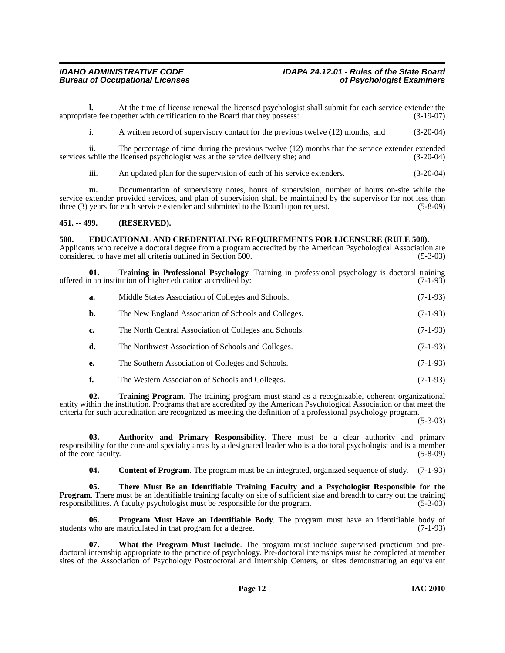#### *IDAHO ADMINISTRATIVE CODE IDAPA 24.12.01 - Rules of the State Board Bureau of Occupational Licenses*

**l.** At the time of license renewal the licensed psychologist shall submit for each service extender the appropriate fee together with certification to the Board that they possess: (3-19-07)

i. A written record of supervisory contact for the previous twelve (12) months; and (3-20-04)

ii. The percentage of time during the previous twelve (12) months that the service extender extended while the licensed psychologist was at the service delivery site; and (3-20-04) services while the licensed psychologist was at the service delivery site; and

iii. An updated plan for the supervision of each of his service extenders. (3-20-04)

**m.** Documentation of supervisory notes, hours of supervision, number of hours on-site while the service extender provided services, and plan of supervision shall be maintained by the supervisor for not less than three (3) years for each service extender and submitted to the Board upon request. (5-8-09)

#### <span id="page-11-0"></span>**451. -- 499. (RESERVED).**

<span id="page-11-4"></span><span id="page-11-1"></span>**500. EDUCATIONAL AND CREDENTIALING REQUIREMENTS FOR LICENSURE (RULE 500).**

Applicants who receive a doctoral degree from a program accredited by the American Psychological Association are considered to have met all criteria outlined in Section 500. considered to have met all criteria outlined in Section 500.

**01. Training in Professional Psychology**. Training in professional psychology is doctoral training offered in an institution of higher education accredited by:

<span id="page-11-7"></span>

| a.             | Middle States Association of Colleges and Schools.     | $(7-1-93)$ |
|----------------|--------------------------------------------------------|------------|
| $\mathbf{b}$ . | The New England Association of Schools and Colleges.   | $(7-1-93)$ |
| c.             | The North Central Association of Colleges and Schools. | $(7-1-93)$ |
| d.             | The Northwest Association of Schools and Colleges.     | $(7-1-93)$ |
| е.             | The Southern Association of Colleges and Schools.      | $(7-1-93)$ |
|                | The Western Association of Schools and Colleges.       | $(7-1-93)$ |

<span id="page-11-8"></span>**02. Training Program**. The training program must stand as a recognizable, coherent organizational entity within the institution. Programs that are accredited by the American Psychological Association or that meet the criteria for such accreditation are recognized as meeting the definition of a professional psychology program.

(5-3-03)

**03. Authority and Primary Responsibility**. There must be a clear authority and primary responsibility for the core and specialty areas by a designated leader who is a doctoral psychologist and is a member of the core faculty.

<span id="page-11-6"></span><span id="page-11-5"></span><span id="page-11-3"></span><span id="page-11-2"></span>**04.** Content of Program. The program must be an integrated, organized sequence of study. (7-1-93)

**05. There Must Be an Identifiable Training Faculty and a Psychologist Responsible for the Program**. There must be an identifiable training faculty on site of sufficient size and breadth to carry out the training responsibilities. A faculty psychologist must be responsible for the program. (5-3-03) responsibilities. A faculty psychologist must be responsible for the program.

**06. Program Must Have an Identifiable Body**. The program must have an identifiable body of students who are matriculated in that program for a degree. (7-1-93)

<span id="page-11-9"></span>**07. What the Program Must Include**. The program must include supervised practicum and predoctoral internship appropriate to the practice of psychology. Pre-doctoral internships must be completed at member sites of the Association of Psychology Postdoctoral and Internship Centers, or sites demonstrating an equivalent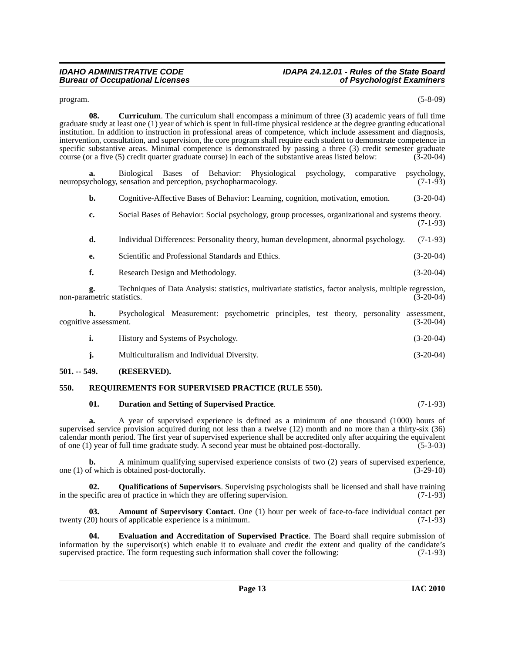### *IDAHO ADMINISTRATIVE CODE IDAPA 24.12.01 - Rules of the State Board*

<span id="page-12-3"></span> $\mu$  program. (5-8-09)

**08.** Curriculum. The curriculum shall encompass a minimum of three (3) academic years of full time graduate study at least one (1) year of which is spent in full-time physical residence at the degree granting educational institution. In addition to instruction in professional areas of competence, which include assessment and diagnosis, intervention, consultation, and supervision, the core program shall require each student to demonstrate competence in specific substantive areas. Minimal competence is demonstrated by passing a three (3) credit semester graduate course (or a five (5) credit quarter graduate course) in each of the substantive areas listed below: (3-20-04) course (or a five  $(5)$  credit quarter graduate course) in each of the substantive areas listed below:

Biological Bases of Behavior: Physiological psychology, comparative psychology, sensation and perception, psychopharmacology. (7-1-93) neuropsychology, sensation and perception, psychopharmacology.

**b.** Cognitive-Affective Bases of Behavior: Learning, cognition, motivation, emotion. (3-20-04)

**c.** Social Bases of Behavior: Social psychology, group processes, organizational and systems theory.  $(7-1-93)$ 

| d. | Individual Differences: Personality theory, human development, abnormal psychology. (7-1-93) |  |
|----|----------------------------------------------------------------------------------------------|--|
|    |                                                                                              |  |

- **e.** Scientific and Professional Standards and Ethics. (3-20-04)
- **f.** Research Design and Methodology. (3-20-04)

**g.** Techniques of Data Analysis: statistics, multivariate statistics, factor analysis, multiple regression, non-parametric statistics. (3-20-04)

**h.** Psychological Measurement: psychometric principles, test theory, personality assessment, eassessment. (3-20-04) cognitive assessment.

|  | History and Systems of Psychology. | $(3-20-04)$ |
|--|------------------------------------|-------------|
|--|------------------------------------|-------------|

**j.** Multiculturalism and Individual Diversity. (3-20-04)

#### <span id="page-12-0"></span>**501. -- 549. (RESERVED).**

#### <span id="page-12-1"></span>**550. REQUIREMENTS FOR SUPERVISED PRACTICE (RULE 550).**

#### <span id="page-12-7"></span><span id="page-12-4"></span>**01. Duration and Setting of Supervised Practice**. (7-1-93)

**a.** A year of supervised experience is defined as a minimum of one thousand (1000) hours of supervised service provision acquired during not less than a twelve (12) month and no more than a thirty-six (36) calendar month period. The first year of supervised experience shall be accredited only after acquiring the equivalent of one (1) year of full time graduate study. A second year must be obtained post-doctorally. (5-3-03)

**b.** A minimum qualifying supervised experience consists of two (2) years of supervised experience, of which is obtained post-doctorally. (3-29-10) one  $(1)$  of which is obtained post-doctorally.

<span id="page-12-6"></span>**Qualifications of Supervisors**. Supervising psychologists shall be licensed and shall have training a of practice in which they are offering supervision. (7-1-93) in the specific area of practice in which they are offering supervision.

<span id="page-12-2"></span>**03. Amount of Supervisory Contact**. One (1) hour per week of face-to-face individual contact per twenty (20) hours of applicable experience is a minimum. (7-1-93)

<span id="page-12-5"></span>**04. Evaluation and Accreditation of Supervised Practice**. The Board shall require submission of information by the supervisor(s) which enable it to evaluate and credit the extent and quality of the candidate's supervised practice. The form requesting such information shall cover the following:  $(7-1-93)$ supervised practice. The form requesting such information shall cover the following: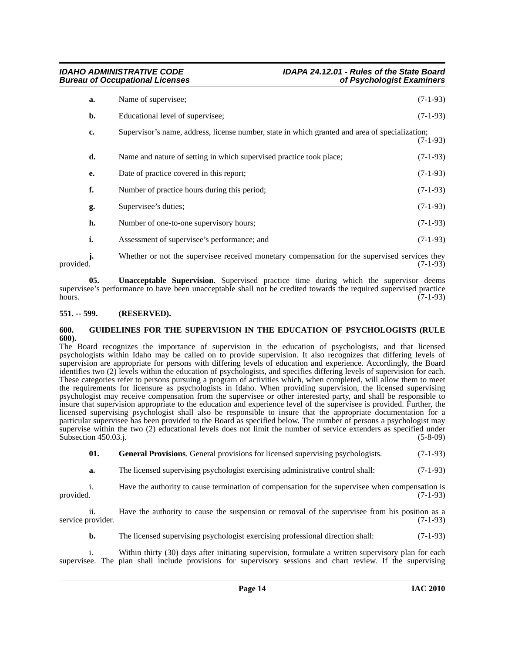| a. | Name of supervisee;                                                                            | $(7-1-93)$ |
|----|------------------------------------------------------------------------------------------------|------------|
| b. | Educational level of supervisee;                                                               | $(7-1-93)$ |
| c. | Supervisor's name, address, license number, state in which granted and area of specialization; | $(7-1-93)$ |
| d. | Name and nature of setting in which supervised practice took place;                            | $(7-1-93)$ |
| e. | Date of practice covered in this report;                                                       | $(7-1-93)$ |
| f. | Number of practice hours during this period;                                                   | $(7-1-93)$ |
| g. | Supervisee's duties;                                                                           | $(7-1-93)$ |
| h. | Number of one-to-one supervisory hours;                                                        | $(7-1-93)$ |
| i. | Assessment of supervisee's performance; and                                                    | $(7-1-93)$ |

**j.** Whether or not the supervisee received monetary compensation for the supervised services they provided. (7-1-93) provided.  $(7-1-93)$ 

<span id="page-13-3"></span>**05. Unacceptable Supervision**. Supervised practice time during which the supervisor deems supervisee's performance to have been unacceptable shall not be credited towards the required supervised practice hours.  $(7-1-93)$ 

#### <span id="page-13-0"></span>**551. -- 599. (RESERVED).**

#### <span id="page-13-2"></span><span id="page-13-1"></span>**600. GUIDELINES FOR THE SUPERVISION IN THE EDUCATION OF PSYCHOLOGISTS (RULE 600).**

The Board recognizes the importance of supervision in the education of psychologists, and that licensed psychologists within Idaho may be called on to provide supervision. It also recognizes that differing levels of supervision are appropriate for persons with differing levels of education and experience. Accordingly, the Board identifies two (2) levels within the education of psychologists, and specifies differing levels of supervision for each. These categories refer to persons pursuing a program of activities which, when completed, will allow them to meet the requirements for licensure as psychologists in Idaho. When providing supervision, the licensed supervising psychologist may receive compensation from the supervisee or other interested party, and shall be responsible to insure that supervision appropriate to the education and experience level of the supervisee is provided. Further, the licensed supervising psychologist shall also be responsible to insure that the appropriate documentation for a particular supervisee has been provided to the Board as specified below. The number of persons a psychologist may supervise within the two (2) educational levels does not limit the number of service extenders as specified under Subsection 450.03.j. (5-8-09)

**01.** General Provisions. General provisions for licensed supervising psychologists. (7-1-93)

**a.** The licensed supervising psychologist exercising administrative control shall:  $(7-1-93)$ 

i. Have the authority to cause termination of compensation for the supervisee when compensation is provided. (7-1-93) provided.  $(7-1-93)$ 

ii. Have the authority to cause the suspension or removal of the supervisee from his position as a service provider. (7-1-93)

**b.** The licensed supervising psychologist exercising professional direction shall: (7-1-93)

i. Within thirty (30) days after initiating supervision, formulate a written supervisory plan for each supervisee. The plan shall include provisions for supervisory sessions and chart review. If the supervising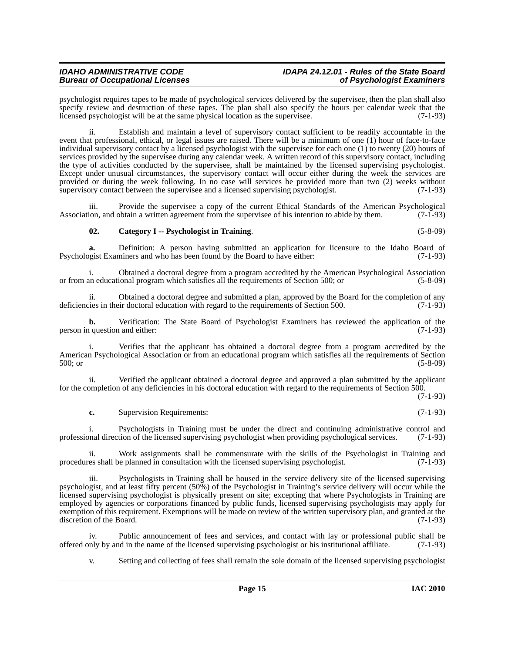### *IDAHO ADMINISTRATIVE CODE IDAPA 24.12.01 - Rules of the State Board*

psychologist requires tapes to be made of psychological services delivered by the supervisee, then the plan shall also specify review and destruction of these tapes. The plan shall also specify the hours per calendar week that the licensed psychologist will be at the same physical location as the supervisee. (7-1-93)

ii. Establish and maintain a level of supervisory contact sufficient to be readily accountable in the event that professional, ethical, or legal issues are raised. There will be a minimum of one (1) hour of face-to-face individual supervisory contact by a licensed psychologist with the supervisee for each one (1) to twenty (20) hours of services provided by the supervisee during any calendar week. A written record of this supervisory contact, including the type of activities conducted by the supervisee, shall be maintained by the licensed supervising psychologist. Except under unusual circumstances, the supervisory contact will occur either during the week the services are provided or during the week following. In no case will services be provided more than two (2) weeks without supervisory contact between the supervisee and a licensed supervising psychologist. (7-1-93)

Provide the supervisee a copy of the current Ethical Standards of the American Psychological Association, and obtain a written agreement from the supervisee of his intention to abide by them. (7-1-93)

#### <span id="page-14-0"></span>**02. Category I -- Psychologist in Training**. (5-8-09)

**a.** Definition: A person having submitted an application for licensure to the Idaho Board of Psychologist Examiners and who has been found by the Board to have either: (7-1-93)

i. Obtained a doctoral degree from a program accredited by the American Psychological Association<br>an educational program which satisfies all the requirements of Section 500; or (5-8-09) or from an educational program which satisfies all the requirements of Section 500; or

ii. Obtained a doctoral degree and submitted a plan, approved by the Board for the completion of any is their doctoral education with regard to the requirements of Section 500. deficiencies in their doctoral education with regard to the requirements of Section 500.

**b.** Verification: The State Board of Psychologist Examiners has reviewed the application of the question and either: (7-1-93) person in question and either:

i. Verifies that the applicant has obtained a doctoral degree from a program accredited by the American Psychological Association or from an educational program which satisfies all the requirements of Section 500; or (5-8-09)

ii. Verified the applicant obtained a doctoral degree and approved a plan submitted by the applicant for the completion of any deficiencies in his doctoral education with regard to the requirements of Section 500.

(7-1-93)

**c.** Supervision Requirements: (7-1-93)

i. Psychologists in Training must be under the direct and continuing administrative control and professional direction of the licensed supervising psychologist when providing psychological services. (7-1-93)

ii. Work assignments shall be commensurate with the skills of the Psychologist in Training and procedures shall be planned in consultation with the licensed supervising psychologist. (7-1-93)

iii. Psychologists in Training shall be housed in the service delivery site of the licensed supervising psychologist, and at least fifty percent (50%) of the Psychologist in Training's service delivery will occur while the licensed supervising psychologist is physically present on site; excepting that where Psychologists in Training are employed by agencies or corporations financed by public funds, licensed supervising psychologists may apply for exemption of this requirement. Exemptions will be made on review of the written supervisory plan, and granted at the discretion of the Board. (7-1-93)

iv. Public announcement of fees and services, and contact with lay or professional public shall be nly by and in the name of the licensed supervising psychologist or his institutional affiliate. (7-1-93) offered only by and in the name of the licensed supervising psychologist or his institutional affiliate. (7-1-93)

v. Setting and collecting of fees shall remain the sole domain of the licensed supervising psychologist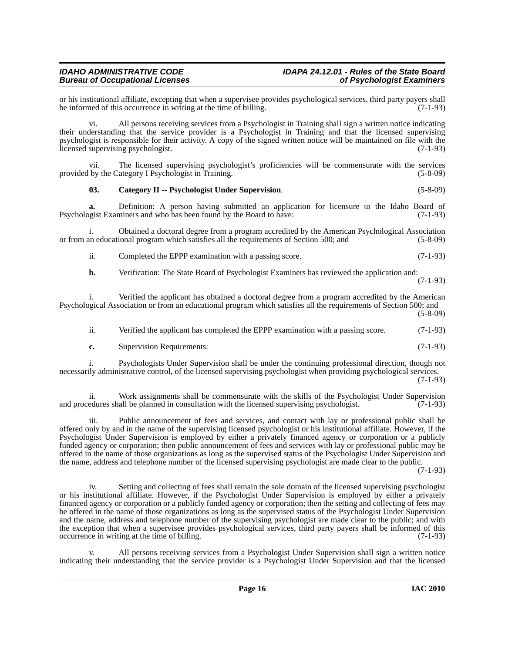or his institutional affiliate, excepting that when a supervisee provides psychological services, third party payers shall<br>be informed of this occurrence in writing at the time of billing. be informed of this occurrence in writing at the time of billing.

vi. All persons receiving services from a Psychologist in Training shall sign a written notice indicating their understanding that the service provider is a Psychologist in Training and that the licensed supervising psychologist is responsible for their activity. A copy of the signed written notice will be maintained on file with the licensed supervising psychologist.

vii. The licensed supervising psychologist's proficiencies will be commensurate with the services provided by the Category I Psychologist in Training. (5-8-09)

#### <span id="page-15-0"></span>**03. Category II -- Psychologist Under Supervision**. (5-8-09)

**a.** Definition: A person having submitted an application for licensure to the Idaho Board of Psychologist Examiners and who has been found by the Board to have: (7-1-93)

i. Obtained a doctoral degree from a program accredited by the American Psychological Association or from an educational program which satisfies all the requirements of Section 500; and (5-8-09)

ii. Completed the EPPP examination with a passing score. (7-1-93)

**b.** Verification: The State Board of Psychologist Examiners has reviewed the application and: (7-1-93)

i. Verified the applicant has obtained a doctoral degree from a program accredited by the American Psychological Association or from an educational program which satisfies all the requirements of Section 500; and (5-8-09)

| ii. | Verified the applicant has completed the EPPP examination with a passing score. | $(7-1-93)$ |
|-----|---------------------------------------------------------------------------------|------------|
|-----|---------------------------------------------------------------------------------|------------|

**c.** Supervision Requirements: (7-1-93)

i. Psychologists Under Supervision shall be under the continuing professional direction, though not necessarily administrative control, of the licensed supervising psychologist when providing psychological services. (7-1-93)

ii. Work assignments shall be commensurate with the skills of the Psychologist Under Supervision and procedures shall be planned in consultation with the licensed supervising psychologist. (7-1-93)

iii. Public announcement of fees and services, and contact with lay or professional public shall be offered only by and in the name of the supervising licensed psychologist or his institutional affiliate. However, if the Psychologist Under Supervision is employed by either a privately financed agency or corporation or a publicly funded agency or corporation; then public announcement of fees and services with lay or professional public may be offered in the name of those organizations as long as the supervised status of the Psychologist Under Supervision and the name, address and telephone number of the licensed supervising psychologist are made clear to the public.

(7-1-93)

iv. Setting and collecting of fees shall remain the sole domain of the licensed supervising psychologist or his institutional affiliate. However, if the Psychologist Under Supervision is employed by either a privately financed agency or corporation or a publicly funded agency or corporation; then the setting and collecting of fees may be offered in the name of those organizations as long as the supervised status of the Psychologist Under Supervision and the name, address and telephone number of the supervising psychologist are made clear to the public; and with the exception that when a supervisee provides psychological services, third party payers shall be informed of this occurrence in writing at the time of billing. (7-1-93)

All persons receiving services from a Psychologist Under Supervision shall sign a written notice indicating their understanding that the service provider is a Psychologist Under Supervision and that the licensed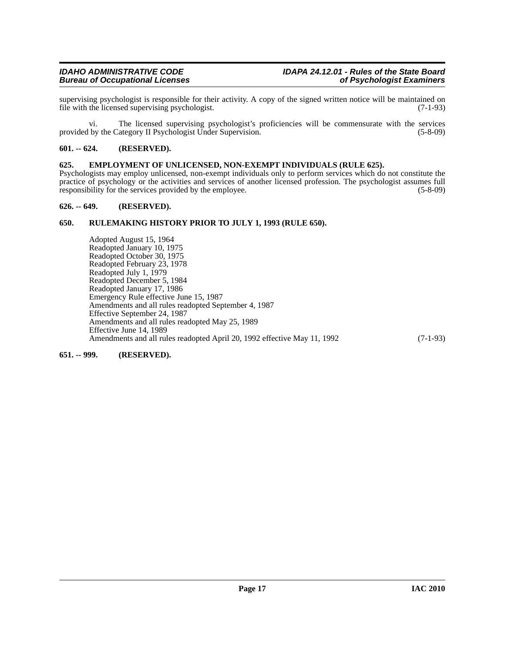supervising psychologist is responsible for their activity. A copy of the signed written notice will be maintained on file with the licensed supervising psychologist. (7-1-93) file with the licensed supervising psychologist.

vi. The licensed supervising psychologist's proficiencies will be commensurate with the services provided by the Category II Psychologist Under Supervision. (5-8-09) (5-8-09)

#### <span id="page-16-0"></span>**601. -- 624. (RESERVED).**

#### <span id="page-16-1"></span>**625. EMPLOYMENT OF UNLICENSED, NON-EXEMPT INDIVIDUALS (RULE 625).**

Psychologists may employ unlicensed, non-exempt individuals only to perform services which do not constitute the practice of psychology or the activities and services of another licensed profession. The psychologist assumes full responsibility for the services provided by the employee. (5-8-09) responsibility for the services provided by the employee.

#### <span id="page-16-2"></span>**626. -- 649. (RESERVED).**

#### <span id="page-16-3"></span>**650. RULEMAKING HISTORY PRIOR TO JULY 1, 1993 (RULE 650).**

Adopted August 15, 1964 Readopted January 10, 1975 Readopted October 30, 1975 Readopted February 23, 1978 Readopted July 1, 1979 Readopted December 5, 1984 Readopted January 17, 1986 Emergency Rule effective June 15, 1987 Amendments and all rules readopted September 4, 1987 Effective September 24, 1987 Amendments and all rules readopted May 25, 1989 Effective June 14, 1989 Amendments and all rules readopted April 20, 1992 effective May 11, 1992 (7-1-93)

<span id="page-16-4"></span>**651. -- 999. (RESERVED).**